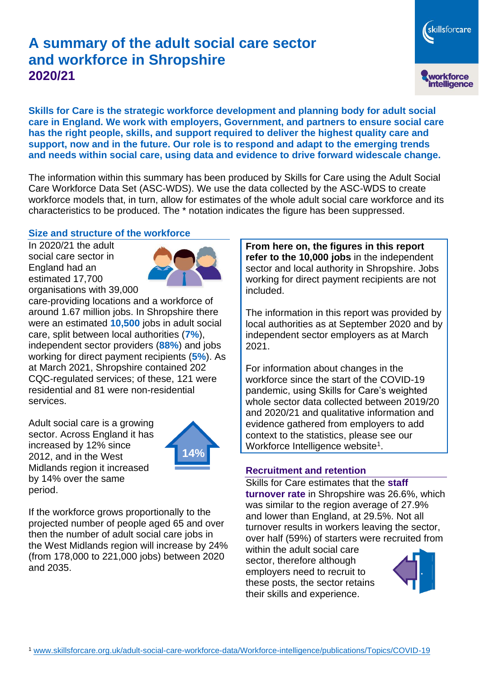# **A summary of the adult social care sector and workforce in Shropshire 2020/21**

workforce<br>intelligence **Skills for Care is the strategic workforce development and planning body for adult social care in England. We work with employers, Government, and partners to ensure social care has the right people, skills, and support required to deliver the highest quality care and** 

**support, now and in the future. Our role is to respond and adapt to the emerging trends and needs within social care, using data and evidence to drive forward widescale change.**

The information within this summary has been produced by Skills for Care using the Adult Social Care Workforce Data Set (ASC-WDS). We use the data collected by the ASC-WDS to create workforce models that, in turn, allow for estimates of the whole adult social care workforce and its characteristics to be produced. The \* notation indicates the figure has been suppressed.

#### **Size and structure of the workforce**

In 2020/21 the adult social care sector in England had an estimated 17,700 organisations with 39,000



care-providing locations and a workforce of around 1.67 million jobs. In Shropshire there were an estimated **10,500** jobs in adult social care, split between local authorities (**7%**), independent sector providers (**88%**) and jobs working for direct payment recipients (**5%**). As at March 2021, Shropshire contained 202 CQC-regulated services; of these, 121 were residential and 81 were non-residential services.

Adult social care is a growing sector. Across England it has increased by 12% since 2012, and in the West Midlands region it increased by 14% over the same period.



If the workforce grows proportionally to the projected number of people aged 65 and over then the number of adult social care jobs in the West Midlands region will increase by 24% (from 178,000 to 221,000 jobs) between 2020 and 2035.

**From here on, the figures in this report refer to the 10,000 jobs** in the independent sector and local authority in Shropshire. Jobs working for direct payment recipients are not included.

The information in this report was provided by local authorities as at September 2020 and by independent sector employers as at March 2021.

For information about changes in the workforce since the start of the COVID-19 pandemic, using Skills for Care's weighted whole sector data collected between 2019/20 and 2020/21 and qualitative information and evidence gathered from employers to add context to the statistics, please see our Workforce Intelligence website<sup>1</sup>.

#### **Recruitment and retention**

Skills for Care estimates that the **staff turnover rate** in Shropshire was 26.6%, which was similar to the region average of 27.9% and lower than England, at 29.5%. Not all turnover results in workers leaving the sector, over half (59%) of starters were recruited from

within the adult social care sector, therefore although employers need to recruit to these posts, the sector retains their skills and experience.



skillsforcare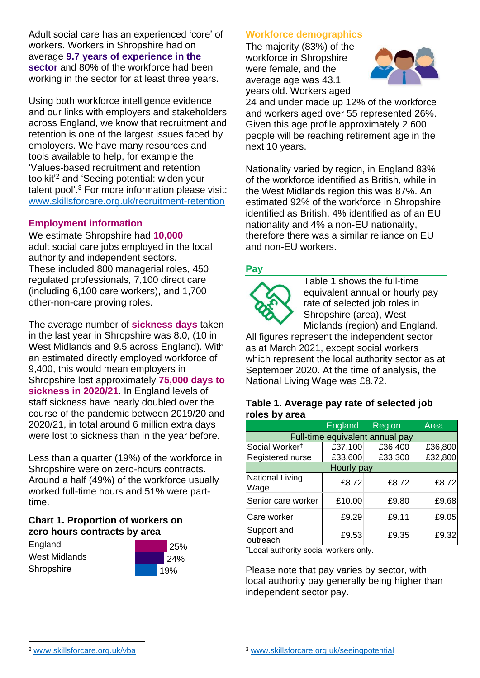Adult social care has an experienced 'core' of workers. Workers in Shropshire had on average **9.7 years of experience in the sector** and 80% of the workforce had been working in the sector for at least three years.

Using both workforce intelligence evidence and our links with employers and stakeholders across England, we know that recruitment and retention is one of the largest issues faced by employers. We have many resources and tools available to help, for example the 'Values-based recruitment and retention toolkit'<sup>2</sup> and 'Seeing potential: widen your talent pool'. <sup>3</sup> For more information please visit: [www.skillsforcare.org.uk/recruitment-retention](http://www.skillsforcare.org.uk/recruitment-retention)

#### **Employment information**

We estimate Shropshire had **10,000** adult social care jobs employed in the local authority and independent sectors. These included 800 managerial roles, 450 regulated professionals, 7,100 direct care (including 6,100 care workers), and 1,700 other-non-care proving roles.

The average number of **sickness days** taken in the last year in Shropshire was 8.0, (10 in West Midlands and 9.5 across England). With an estimated directly employed workforce of 9,400, this would mean employers in Shropshire lost approximately **75,000 days to sickness in 2020/21**. In England levels of staff sickness have nearly doubled over the course of the pandemic between 2019/20 and 2020/21, in total around 6 million extra days were lost to sickness than in the year before.

Less than a quarter (19%) of the workforce in Shropshire were on zero-hours contracts. Around a half (49%) of the workforce usually worked full-time hours and 51% were parttime.

### **Chart 1. Proportion of workers on zero hours contracts by area**

**England** West Midlands **Shropshire** 



### **Workforce demographics**

The majority (83%) of the workforce in Shropshire were female, and the average age was 43.1 years old. Workers aged



24 and under made up 12% of the workforce and workers aged over 55 represented 26%. Given this age profile approximately 2,600 people will be reaching retirement age in the next 10 years.

Nationality varied by region, in England 83% of the workforce identified as British, while in the West Midlands region this was 87%. An estimated 92% of the workforce in Shropshire identified as British, 4% identified as of an EU nationality and 4% a non-EU nationality, therefore there was a similar reliance on EU and non-EU workers.

### **Pay**



Table 1 shows the full-time equivalent annual or hourly pay rate of selected job roles in Shropshire (area), West Midlands (region) and England.

All figures represent the independent sector as at March 2021, except social workers which represent the local authority sector as at September 2020. At the time of analysis, the National Living Wage was £8.72.

#### **Table 1. Average pay rate of selected job roles by area**

|                                 | England | Region  | Area    |
|---------------------------------|---------|---------|---------|
| Full-time equivalent annual pay |         |         |         |
| Social Worker <sup>t</sup>      | £37,100 | £36,400 | £36,800 |
| Registered nurse                | £33,600 | £33,300 | £32,800 |
| Hourly pay                      |         |         |         |
| National Living<br>Wage         | £8.72   | £8.72   | £8.72   |
| Senior care worker              | £10.00  | £9.80   | £9.68   |
| Care worker                     | £9.29   | £9.11   | £9.05   |
| Support and<br>outreach         | £9.53   | £9.35   | £9.32   |

†Local authority social workers only.

Please note that pay varies by sector, with local authority pay generally being higher than independent sector pay.